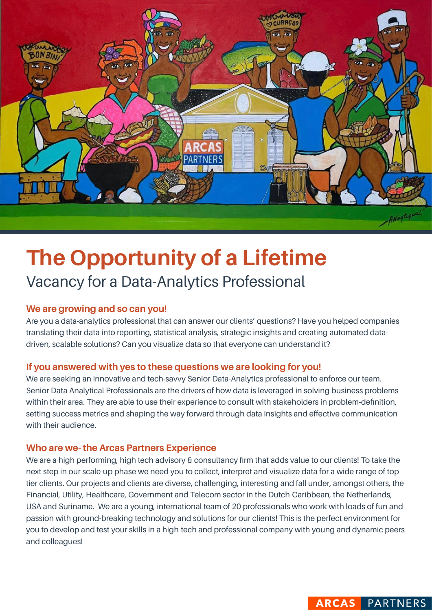

# **The Opportunity of a Lifetime** Vacancy for a Data-Analytics Professional

## **We are growing and so can you!**

Are you a data-analytics professional that can answer our clients' questions? Have you helped companies translating their data into reporting, statistical analysis, strategic insights and creating automated datadriven, scalable solutions? Can you visualize data so that everyone can understand it?

### **If you answered with yes to these questions we are looking for you!**

We are seeking an innovative and tech-savvy Senior Data-Analytics professional to enforce our team. Senior Data Analytical Professionals are the drivers of how data is leveraged in solving business problems within their area. They are able to use their experience to consult with stakeholders in problem-definition, setting success metrics and shaping the way forward through data insights and effective communication with their audience.

#### **Who are we- the Arcas Partners Experience**

We are a high performing, high tech advisory & consultancy firm that adds value to our clients! To take the next step in our scale-up phase we need you to collect, interpret and visualize data for a wide range of top tier clients. Our projects and clients are diverse, challenging, interesting and fall under, amongst others, the Financial, Utility, Healthcare, Government and Telecom sector in the Dutch-Caribbean, the Netherlands, USA and Suriname. We are a young, international team of 20 professionals who work with loads of fun and passion with ground-breaking technology and solutions for our clients! This is the perfect environment for you to develop and test your skills in a high-tech and professional company with young and dynamic peers and colleagues!

**ARCAS PARTNERS**